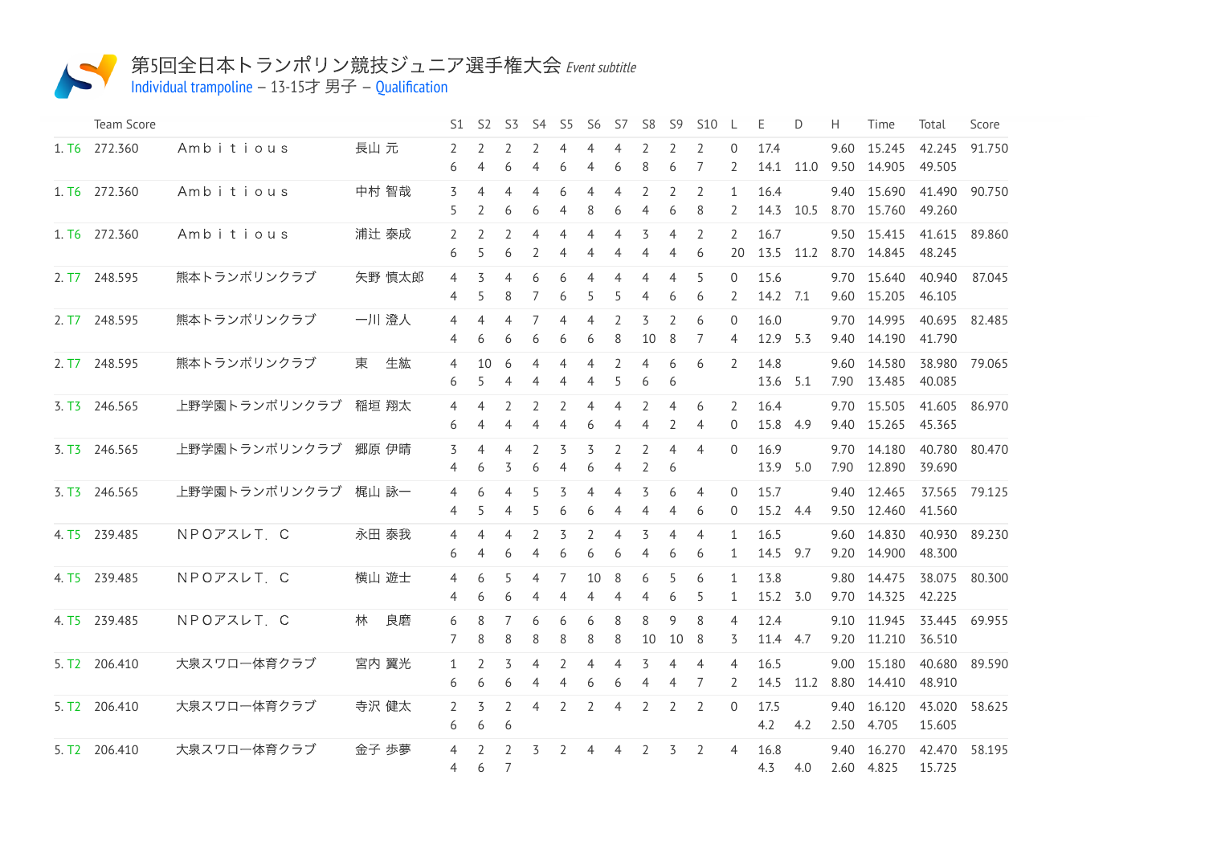

## 第5回全日本トランポリン競技ジュニア選手権大会 Event subtitle

Individual [trampoline](http://192.168.11.100:9001/event/TRA)  $-13-15$ 才 男子  $-$  [Qualification](http://192.168.11.100:9001/stages/6)

| Team Score                |                      |         | S1.                 | <b>S2</b>                     | S3                                         | S4                  | S5                               | -S6                              | S7                               | S8                  | S9                  | <b>S10</b>          | -L                                    | E                | D         | H            | Time                       | Total            | Score         |
|---------------------------|----------------------|---------|---------------------|-------------------------------|--------------------------------------------|---------------------|----------------------------------|----------------------------------|----------------------------------|---------------------|---------------------|---------------------|---------------------------------------|------------------|-----------|--------------|----------------------------|------------------|---------------|
| 1. T6 272.360             | Ambitious            | 長山 元    | 2<br>6              | 2<br>4                        | 2<br>6                                     | 2<br>4              | $\overline{4}$<br>6              | 4<br>$\overline{4}$              | 4<br>6                           | 2<br>8              | 2<br>6              | 2<br>7              | $\Omega$<br>2                         | 17.4             | 14.1 11.0 | 9.60         | 15.245<br>9.50 14.905      | 42.245<br>49.505 | 91.750        |
| 1. T6 272.360             | Ambitious            | 中村 智哉   | 3<br>5              | 4<br>2                        | $\overline{4}$<br>6                        | 4<br>6              | 6<br>4                           | $\overline{4}$<br>8              | 4<br>6                           | 2<br>4              | 2<br>6              | 2<br>8              | $\mathbf{1}$<br>$\mathbf{2}^{\prime}$ | 16.4             | 14.3 10.5 |              | 9.40 15.690<br>8.70 15.760 | 41.490<br>49.260 | 90.750        |
| 1. T6 272.360             | Ambitious            | 浦辻 泰成   | $\overline{2}$<br>6 | $\overline{\phantom{a}}$<br>5 | $\overline{\phantom{a}}$<br>6              | 4<br>2              | $\overline{4}$<br>$\overline{4}$ | $\overline{4}$<br>4              | $\overline{4}$<br>4              | 3<br>4              | $\overline{4}$<br>4 | $\overline{2}$<br>6 | $\mathcal{L}$<br>20                   | 16.7             | 13.5 11.2 |              | 9.50 15.415<br>8.70 14.845 | 41.615<br>48.245 | 89.860        |
| 2. T7 248.595             | 熊本トランポリンクラブ          | 矢野 慎太郎  | 4<br>4              | 3<br>5                        | $\overline{4}$<br>8                        | 6<br>$\overline{7}$ | 6<br>6                           | 4<br>5                           | 4<br>5                           | 4<br>4              | 4<br>6              | 5<br>6              | 0<br>$\mathbf{2}^{\prime}$            | 15.6<br>14.2 7.1 |           |              | 9.70 15.640<br>9.60 15.205 | 40.940<br>46.105 | 87.045        |
| 2. T7 248.595             | 熊本トランポリンクラブ          | 一川 澄人   | 4<br>4              | 4<br>6                        | 4<br>6                                     | 7<br>6              | $\overline{4}$<br>6              | $\overline{4}$<br>6              | 2<br>8                           | 3<br>10             | 2<br>8              | 6<br>7              | $\Omega$<br>4                         | 16.0<br>12.9 5.3 |           | 9.40         | 9.70 14.995<br>14.190      | 40.695<br>41.790 | 82.485        |
| 2. T7 248.595             | 熊本トランポリンクラブ          | 生紘<br>東 | $\overline{4}$<br>6 | 10<br>5                       | 6<br>$\overline{4}$                        | 4<br>4              | $\overline{4}$<br>4              | $\overline{4}$<br>$\overline{4}$ | $\overline{2}$<br>5              | 4<br>6              | 6<br>6              | 6                   | $\overline{2}$                        | 14.8<br>13.6     | 5.1       | 7.90         | 9.60 14.580<br>13.485      | 40.085           | 38.980 79.065 |
| 3. T3 246.565             | 上野学園トランポリンクラブ        | 稲垣 翔太   | 4<br>6              | 4<br>4                        | 2<br>$\overline{4}$                        | $\overline{2}$<br>4 | 2<br>$\overline{4}$              | $\overline{4}$<br>6              | $\overline{4}$<br>4              | $\overline{2}$<br>4 | 4<br>2              | 6<br>4              | $\overline{2}$<br>$\Omega$            | 16.4<br>15.8 4.9 |           | 9.40         | 9.70 15.505<br>15.265      | 41.605<br>45.365 | 86.970        |
| 3. T3 246.565             | 上野学園トランポリンクラブ        | 郷原 伊晴   | 3<br>4              | 4<br>6                        | $\overline{4}$<br>3                        | $\overline{2}$<br>6 | 3<br>$\overline{4}$              | 3<br>6                           | $\overline{2}$<br>$\overline{4}$ | 2<br>$\overline{2}$ | $\overline{4}$<br>6 | $\overline{4}$      | 0                                     | 16.9<br>13.9 5.0 |           | 9.70<br>7.90 | 14.180<br>12.890           | 40.780<br>39.690 | 80.470        |
| 3. T3 246.565             | 上野学園トランポリンクラブ        | 梶山 詠一   | $\overline{4}$<br>4 | 6<br>5                        | $\overline{4}$<br>4                        | 5<br>5              | 3<br>6                           | $\overline{4}$<br>6              | $\overline{4}$<br>4              | 3<br>4              | 6<br>4              | $\overline{4}$<br>6 | $\Omega$<br>$\overline{0}$            | 15.7<br>15.2 4.4 |           | 9.40<br>9.50 | 12.465<br>12.460           | 41.560           | 37.565 79.125 |
| 4. T5 239.485             | NPOアスレT. C           | 永田 泰我   | 4<br>6              | 4<br>4                        | 4<br>6                                     | 2<br>4              | 3<br>6                           | $\overline{2}$<br>6              | 4<br>6                           | 3<br>4              | 4<br>6              | $\overline{4}$<br>6 | $\mathbf{1}$<br>$\mathbf{1}$          | 16.5<br>14.5 9.7 |           |              | 9.60 14.830<br>9.20 14.900 | 48.300           | 40.930 89.230 |
| 4. T5 239.485             | NPOTALT <sub>C</sub> | 横山 遊士   | 4<br>4              | 6<br>6                        | 5<br>6                                     | 4<br>4              | 7<br>4                           | 10<br>4                          | 8<br>4                           | 6<br>4              | 5<br>6              | 6<br>5              | $\mathbf{1}$<br>1                     | 13.8<br>15.2 3.0 |           | 9.80         | 14.475<br>9.70 14.325      | 38.075<br>42.225 | 80.300        |
| 4. T5 239.485             | NPOアスレT. C           | 良磨<br>林 | 6<br>7              | 8<br>8                        | 7<br>8                                     | 6<br>8              | 6<br>8                           | 6<br>8                           | 8<br>8                           | 8<br>10             | 9<br>10             | 8<br>8              | 4<br>3                                | 12.4<br>11.4 4.7 |           |              | 9.10 11.945<br>9.20 11.210 | 33.445<br>36.510 | 69.955        |
| 5. T2 206.410             | 大泉スワロー体育クラブ          | 宮内 翼光   | 1<br>6              | 2<br>6                        | 3<br>6                                     | $\overline{4}$<br>4 | $\overline{2}$<br>$\overline{4}$ | $\overline{4}$<br>6              | $\overline{4}$<br>6              | 3<br>4              | 4<br>4              | $\overline{4}$<br>7 | 4<br>2                                | 16.5<br>14.5     | 11.2      | 8.80         | 9.00 15.180<br>14.410      | 40.680<br>48.910 | 89.590        |
| 5. T <sub>2</sub> 206.410 | 大泉スワロー体育クラブ          | 寺沢 健太   | 2<br>6              | 3<br>6                        | 2<br>6                                     | 4                   | $\overline{2}$                   | $\overline{2}$                   | $\overline{4}$                   | $\overline{2}$      | $\overline{2}$      | 2                   | $\Omega$                              | 17.5<br>4.2      | 4.2       | 9.40         | 16.120<br>2.50 4.705       | 43.020<br>15.605 | 58.625        |
| 5. T2 206.410             | 大泉スワロー体育クラブ          | 金子 歩夢   | 4<br>$\overline{4}$ | $\overline{\phantom{0}}$<br>6 | $\overline{\phantom{a}}$<br>$\overline{7}$ | 3                   | $\overline{2}$                   | $\overline{4}$                   | $\overline{4}$                   | 2                   | 3                   | 2                   | 4                                     | 16.8<br>4.3      | 4.0       | 9.40         | 16.270<br>2.60 4.825       | 42.470<br>15.725 | 58.195        |